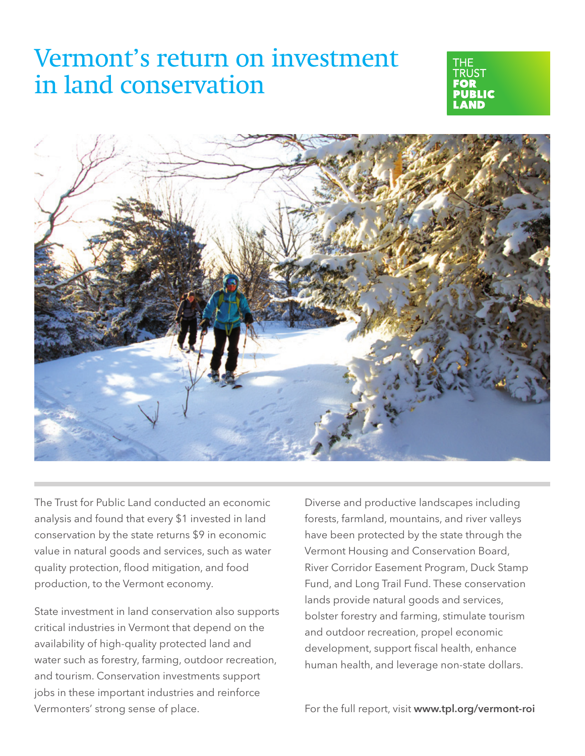# Vermont's return on investment in land conservation





The Trust for Public Land conducted an economic analysis and found that every \$1 invested in land conservation by the state returns \$9 in economic value in natural goods and services, such as water quality protection, flood mitigation, and food production, to the Vermont economy.

State investment in land conservation also supports critical industries in Vermont that depend on the availability of high-quality protected land and water such as forestry, farming, outdoor recreation, and tourism. Conservation investments support jobs in these important industries and reinforce Vermonters' strong sense of place.

Diverse and productive landscapes including forests, farmland, mountains, and river valleys have been protected by the state through the Vermont Housing and Conservation Board, River Corridor Easement Program, Duck Stamp Fund, and Long Trail Fund. These conservation lands provide natural goods and services, bolster forestry and farming, stimulate tourism and outdoor recreation, propel economic development, support fiscal health, enhance human health, and leverage non-state dollars.

For the full report, visit www.tpl.org/vermont-roi